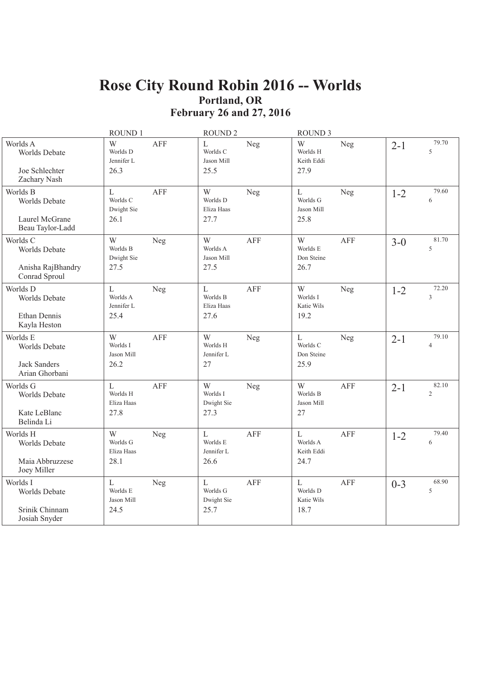### Rose City Round Robin 2016 -- Worlds Portland, OR **February 26 and 27, 2016**

|                                                                    | ROUND 1                                        |            | ROUND <sub>2</sub>                               |            | <b>ROUND 3</b>                                   |            |         |                         |
|--------------------------------------------------------------------|------------------------------------------------|------------|--------------------------------------------------|------------|--------------------------------------------------|------------|---------|-------------------------|
| Worlds A<br>Worlds Debate<br>Joe Schlechter<br>Zachary Nash        | W<br>Worlds D<br>Jennifer L<br>26.3            | <b>AFF</b> | $\overline{L}$<br>Worlds C<br>Jason Mill<br>25.5 | Neg        | W<br>Worlds H<br>Keith Eddi<br>27.9              | Neg        | $2 - 1$ | 79.70<br>5              |
| Worlds B<br>Worlds Debate<br>Laurel McGrane<br>Beau Taylor-Ladd    | $\mathbf{L}$<br>Worlds C<br>Dwight Sie<br>26.1 | AFF        | W<br>Worlds D<br>Eliza Haas<br>27.7              | Neg        | $\mathbf{L}$<br>Worlds G<br>Jason Mill<br>25.8   | Neg        | $1 - 2$ | 79.60<br>6              |
| Worlds C<br>Worlds Debate<br>Anisha RajBhandry<br>Conrad Sproul    | W<br>Worlds B<br>Dwight Sie<br>27.5            | Neg        | W<br>Worlds A<br>Jason Mill<br>27.5              | <b>AFF</b> | W<br>Worlds E<br>Don Steine<br>26.7              | <b>AFF</b> | $3 - 0$ | 81.70<br>5              |
| Worlds D<br>Worlds Debate<br>Ethan Dennis<br>Kayla Heston          | L<br>Worlds A<br>Jennifer L<br>25.4            | Neg        | $\mathbf L$<br>Worlds B<br>Eliza Haas<br>27.6    | AFF        | W<br>Worlds I<br>Katie Wils<br>19.2              | Neg        | $1 - 2$ | 72.20<br>3              |
| Worlds E<br>Worlds Debate<br><b>Jack Sanders</b><br>Arian Ghorbani | W<br>Worlds I<br>Jason Mill<br>26.2            | <b>AFF</b> | W<br>Worlds H<br>Jennifer L<br>27                | Neg        | $\mathbf{L}$<br>Worlds C<br>Don Steine<br>25.9   | Neg        | $2 - 1$ | 79.10<br>$\overline{4}$ |
| Worlds G<br>Worlds Debate<br>Kate LeBlanc<br>Belinda Li            | L<br>Worlds H<br>Eliza Haas<br>27.8            | <b>AFF</b> | W<br>Worlds I<br>Dwight Sie<br>27.3              | Neg        | W<br>Worlds B<br>Jason Mill<br>27                | <b>AFF</b> | $2 - 1$ | 82.10<br>$\overline{c}$ |
| Worlds H<br>Worlds Debate<br>Maia Abbruzzese<br>Joey Miller        | W<br>Worlds G<br>Eliza Haas<br>28.1            | Neg        | $\overline{L}$<br>Worlds E<br>Jennifer L<br>26.6 | <b>AFF</b> | $\overline{L}$<br>Worlds A<br>Keith Eddi<br>24.7 | <b>AFF</b> | $1 - 2$ | 79.40<br>6              |
| Worlds I<br>Worlds Debate<br>Srinik Chinnam<br>Josiah Snyder       | L<br>Worlds E<br>Jason Mill<br>24.5            | Neg        | $\mathbf{L}$<br>Worlds G<br>Dwight Sie<br>25.7   | <b>AFF</b> | $\mathbf{L}$<br>Worlds D<br>Katie Wils<br>18.7   | <b>AFF</b> | $0 - 3$ | 68.90<br>5              |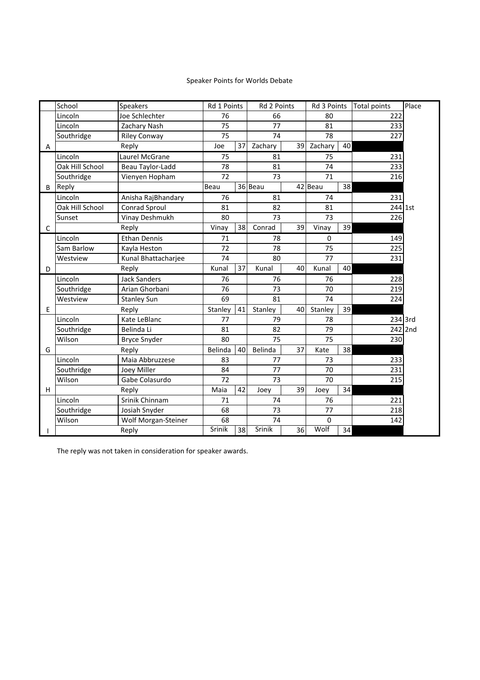#### Speaker Points for Worlds Debate

|   | School          | Speakers            |                      | Rd 1 Points<br>Rd 2 Points |                 | Rd 3 Points     |          | <b>Total points</b> | Place   |         |
|---|-----------------|---------------------|----------------------|----------------------------|-----------------|-----------------|----------|---------------------|---------|---------|
|   | Lincoln         | Joe Schlechter      | 76<br>66             |                            | 80              |                 | 222      |                     |         |         |
|   | Lincoln         | Zachary Nash        | 75                   |                            |                 |                 | 81       |                     | 233     |         |
|   | Southridge      | <b>Riley Conway</b> | 75                   |                            | 74              |                 | 78       |                     | 227     |         |
| Α |                 | Reply               | Zachary<br>37<br>Joe |                            | 39 <sup>1</sup> | Zachary         | 40       |                     |         |         |
|   | Lincoln         | Laurel McGrane      | 75                   |                            | 81              |                 | 75       |                     | 231     |         |
|   | Oak Hill School | Beau Taylor-Ladd    | 78                   |                            | 81              |                 | 74       |                     | 233     |         |
|   | Southridge      | Vienyen Hopham      | 72                   |                            | 73              |                 | 71       |                     | 216     |         |
| B | Reply           |                     | Beau                 |                            | 36 Beau         |                 | 42 Beau  | 38                  |         |         |
|   | Lincoln         | Anisha RajBhandary  | 76                   |                            | 81              |                 | 74       |                     | 231     |         |
|   | Oak Hill School | Conrad Sproul       | 81                   |                            | 82              |                 | 81       |                     | 244 1st |         |
|   | Sunset          | Vinay Deshmukh      | 80                   |                            | 73              |                 | 73       |                     | 226     |         |
| C |                 | Reply               | Vinay                | 38                         | Conrad          | 39              | Vinay    | 39                  |         |         |
|   | Lincoln         | <b>Ethan Dennis</b> | 71                   |                            | 78              |                 | $\Omega$ |                     | 149     |         |
|   | Sam Barlow      | Kayla Heston        | 72                   |                            | 78              |                 | 75       |                     | 225     |         |
|   | Westview        | Kunal Bhattacharjee | 74<br>80             |                            |                 | 77              |          | 231                 |         |         |
| D |                 | Reply               | Kunal                | 37                         | Kunal           | 40 <sup>1</sup> | Kunal    | 40                  |         |         |
|   | Lincoln         | <b>Jack Sanders</b> | 76                   |                            | 76              |                 | 76       |                     | 228     |         |
|   | Southridge      | Arian Ghorbani      | 76                   |                            | 73              |                 | 70       |                     | 219     |         |
|   | Westview        | <b>Stanley Sun</b>  | 69                   |                            | 81              |                 | 74       |                     | 224     |         |
| E |                 | Reply               | Stanley              | 41                         | Stanley         | 40              | Stanley  | 39                  |         |         |
|   | Lincoln         | Kate LeBlanc        | 77                   |                            | 79              |                 | 78       |                     |         | 234 3rd |
|   | Southridge      | Belinda Li          | 81                   |                            | 82              |                 | 79       |                     |         | 242 2nd |
|   | Wilson          | <b>Bryce Snyder</b> | 80                   |                            | 75              |                 | 75       |                     | 230     |         |
| G |                 | Reply               | Belinda              | 40                         | Belinda         | 37              | Kate     | 38                  |         |         |
|   | Lincoln         | Maia Abbruzzese     | 83                   |                            | 77              |                 | 73       |                     | 233     |         |
|   | Southridge      | Joey Miller         | 84                   |                            | 77              |                 | 70       |                     | 231     |         |
|   | Wilson          | Gabe Colasurdo      | 72                   |                            | 73              |                 | 70       |                     | 215     |         |
| H |                 | Reply               | Maia                 | 42                         | Joey            | 39              | Joey     | 34                  |         |         |
|   | Lincoln         | Srinik Chinnam      | 74<br>71             |                            | 76              |                 | 221      |                     |         |         |
|   | Southridge      | Josiah Snyder       | 68<br>73             |                            | 77              |                 | 218      |                     |         |         |
|   | Wilson          | Wolf Morgan-Steiner | 68                   |                            | 74              |                 | 0        |                     | 142     |         |
|   |                 | Reply               | Srinik               | 38                         | Srinik          | 36              | Wolf     | 34                  |         |         |

The reply was not taken in consideration for speaker awards.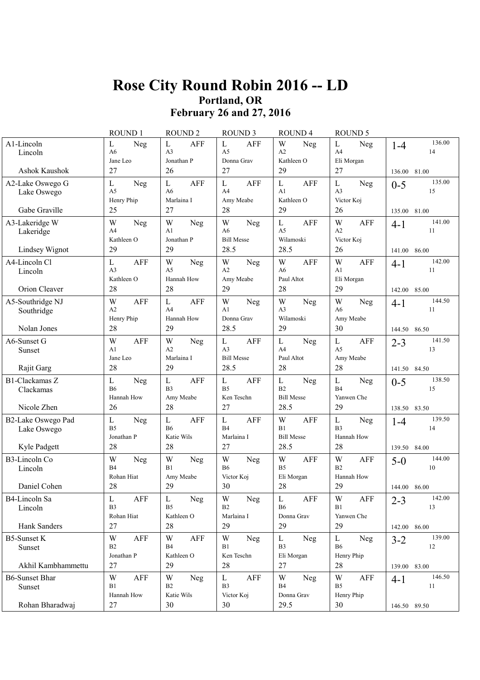### **Rose City Round Robin 2016 -- LD Portland, OR February 26 and 27, 2016**

|                                    | ROUND 1                                                   | <b>ROUND 2</b>                                             | <b>ROUND 3</b>                                                   | <b>ROUND4</b>                                              | ROUND <sub>5</sub>                                       |                         |
|------------------------------------|-----------------------------------------------------------|------------------------------------------------------------|------------------------------------------------------------------|------------------------------------------------------------|----------------------------------------------------------|-------------------------|
| A1-Lincoln<br>Lincoln              | Neg<br>L<br>A6<br>Jane Leo                                | <b>AFF</b><br>L<br>A <sub>3</sub><br>Jonathan P            | <b>AFF</b><br>L<br>A <sub>5</sub><br>Donna Grav                  | W<br>Neg<br>A2<br>Kathleen O                               | Neg<br>L<br>A4<br>Eli Morgan                             | 136.00<br>$1 - 4$<br>14 |
| Ashok Kaushok                      | 27                                                        | 26                                                         | 27                                                               | 29                                                         | 27                                                       | 136.00<br>81.00         |
| A2-Lake Oswego G<br>Lake Oswego    | L<br>Neg<br>A <sub>5</sub><br>Henry Phip                  | <b>AFF</b><br>$\mathbf{L}$<br>A <sub>6</sub><br>Marlaina I | <b>AFF</b><br>L<br>A <sup>4</sup><br>Amy Meabe                   | $\mathbf{L}$<br><b>AFF</b><br>A <sub>1</sub><br>Kathleen O | L<br>Neg<br>A <sub>3</sub><br>Victor Koj                 | 135.00<br>$0 - 5$<br>15 |
| Gabe Graville                      | 25                                                        | 27                                                         | 28                                                               | 29                                                         | 26                                                       | 135.00 81.00            |
| A3-Lakeridge W<br>Lakeridge        | W<br>Neg<br>A4<br>Kathleen O                              | W<br>Neg<br>A1<br>Jonathan P                               | W<br>Neg<br>A <sub>6</sub><br><b>Bill Messe</b>                  | L<br><b>AFF</b><br>A <sub>5</sub><br>Wilamoski             | <b>AFF</b><br>W<br>A2<br>Victor Koj                      | 141.00<br>$4 - 1$<br>11 |
| Lindsey Wignot                     | 29                                                        | 29                                                         | 28.5                                                             | 28.5                                                       | 26                                                       | 141.00<br>86.00         |
| A4-Lincoln Cl<br>Lincoln           | $\mathbf L$<br><b>AFF</b><br>A <sub>3</sub><br>Kathleen O | W<br>Neg<br>A <sub>5</sub><br>Hannah How                   | W<br>Neg<br>A2<br>Amy Meabe                                      | W<br><b>AFF</b><br>A <sub>6</sub><br>Paul Altot            | W<br><b>AFF</b><br>A1<br>Eli Morgan                      | 142.00<br>$4 - 1$<br>11 |
| Orion Cleaver                      | 28                                                        | 28                                                         | 29                                                               | 28                                                         | 29                                                       | 142.00 85.00            |
| A5-Southridge NJ<br>Southridge     | W<br>AFF<br>A2<br>Henry Phip                              | <b>AFF</b><br>L<br>A <sup>4</sup><br>Hannah How            | W<br>Neg<br>A1<br>Donna Grav                                     | W<br>Neg<br>A <sub>3</sub><br>Wilamoski                    | W<br>Neg<br>A6<br>Amy Meabe                              | 144.50<br>$4 - 1$<br>11 |
| Nolan Jones                        | 28                                                        | 29                                                         | 28.5                                                             | 29                                                         | 30                                                       | 144.50 86.50            |
| A6-Sunset G<br>Sunset              | W<br><b>AFF</b><br>A1<br>Jane Leo                         | W<br>Neg<br>A2<br>Marlaina I                               | $\mathbf L$<br><b>AFF</b><br>A <sub>3</sub><br><b>Bill Messe</b> | L<br>Neg<br>A <sub>4</sub><br>Paul Altot                   | $\mathbf L$<br><b>AFF</b><br>A <sub>5</sub><br>Amy Meabe | 141.50<br>$2 - 3$<br>13 |
| Rajit Garg                         | 28                                                        | 29                                                         | 28.5                                                             | 28                                                         | 28                                                       | 141.50 84.50            |
| <b>B1-Clackamas Z</b><br>Clackamas | L<br>Neg<br><b>B6</b><br>Hannah How                       | L<br><b>AFF</b><br>B <sub>3</sub><br>Amy Meabe             | $\mathbf{L}$<br><b>AFF</b><br>B <sub>5</sub><br>Ken Teschn       | L<br>Neg<br>B <sub>2</sub><br><b>Bill Messe</b>            | L<br>Neg<br>B4<br>Yanwen Che                             | 138.50<br>$0 - 5$<br>15 |
| Nicole Zhen                        | 26                                                        | 28                                                         | 27                                                               | 28.5                                                       | 29                                                       | 138.50<br>83.50         |
| B2-Lake Oswego Pad<br>Lake Oswego  | L<br>Neg<br>B <sub>5</sub><br>Jonathan P                  | <b>AFF</b><br>L<br><b>B6</b><br>Katie Wils                 | $\mathbf L$<br><b>AFF</b><br>B <sub>4</sub><br>Marlaina I        | W<br><b>AFF</b><br>B1<br><b>Bill Messe</b>                 | L<br>Neg<br>B <sub>3</sub><br>Hannah How                 | 139.50<br>$1 - 4$<br>14 |
| Kyle Padgett                       | 28                                                        | 28                                                         | 27                                                               | 28.5                                                       | 28                                                       | 139.50 84.00            |
| <b>B3-Lincoln Co</b><br>Lincoln    | W<br>Neg<br>B <sub>4</sub><br>Rohan Hiat                  | W<br>Neg<br>B1<br>Amy Meabe                                | W<br>Neg<br><b>B6</b><br>Victor Koj                              | W<br>AFF<br>B <sub>5</sub><br>Eli Morgan                   | W<br>AFF<br>B2<br>Hannah How                             | 144.00<br>$5-0$<br>10   |
| Daniel Cohen                       | 28                                                        | 29                                                         | 30                                                               | 28                                                         | 29                                                       | 144.00 86.00            |
| B4-Lincoln Sa<br>Lincoln           | AFF<br>L<br>B <sub>3</sub><br>Rohan Hiat                  | L<br>Neg<br>B <sub>5</sub><br>Kathleen O                   | W<br>Neg<br>B <sub>2</sub><br>Marlaina I                         | L<br>AFF<br><b>B6</b><br>Donna Grav                        | AFF<br>W<br>B1<br>Yanwen Che                             | 142.00<br>$2 - 3$<br>13 |
| Hank Sanders                       | 27                                                        | 28                                                         | 29                                                               | 29                                                         | 29                                                       | 142.00 86.00            |
| <b>B5-Sunset K</b><br>Sunset       | W<br>AFF<br>B2<br>Jonathan P                              | W<br>AFF<br><b>B4</b><br>Kathleen O                        | W<br>Neg<br><b>B</b> 1<br>Ken Teschn                             | $\mathbf{L}$<br>Neg<br>B <sub>3</sub><br>Eli Morgan        | L<br>Neg<br><b>B6</b><br>Henry Phip                      | 139.00<br>$3 - 2$<br>12 |
| Akhil Kambhammettu                 | 27                                                        | 29                                                         | 28                                                               | 27                                                         | 28                                                       | 139.00 83.00            |
| <b>B6-Sunset Bhar</b><br>Sunset    | W<br>AFF<br>B1<br>Hannah How                              | W<br>Neg<br>B <sub>2</sub><br>Katie Wils                   | L<br>AFF<br>B <sub>3</sub><br>Victor Koj                         | W<br>Neg<br><b>B4</b><br>Donna Grav                        | W<br>AFF<br>B5<br>Henry Phip                             | 146.50<br>$4 - 1$<br>11 |
| Rohan Bharadwaj                    | $27\,$                                                    | 30                                                         | 30                                                               | 29.5                                                       | 30                                                       | 146.50 89.50            |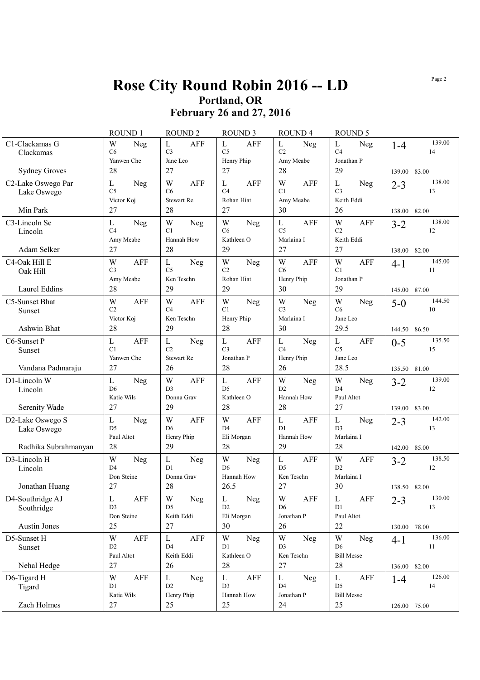### **Rose City Round Robin 2016 -- LD Portland, OR February 26 and 27, 2016**

|                                   | ROUND 1                                         | <b>ROUND2</b>                                            | ROUND <sub>3</sub>                              | <b>ROUND 4</b>                                  | <b>ROUND 5</b>                                         |                         |
|-----------------------------------|-------------------------------------------------|----------------------------------------------------------|-------------------------------------------------|-------------------------------------------------|--------------------------------------------------------|-------------------------|
| C1-Clackamas G<br>Clackamas       | W<br>Neg<br>C6<br>Yanwen Che                    | $\mathbf{L}$<br><b>AFF</b><br>C <sub>3</sub><br>Jane Leo | L<br><b>AFF</b><br>C <sub>5</sub><br>Henry Phip | L<br>Neg<br>C <sub>2</sub><br>Amy Meabe         | $\mathbf L$<br>Neg<br>C <sub>4</sub><br>Jonathan P     | 139.00<br>$1 - 4$<br>14 |
| <b>Sydney Groves</b>              | 28                                              | 27                                                       | 27                                              | 28                                              | 29                                                     | 139.00<br>83.00         |
| C2-Lake Oswego Par<br>Lake Oswego | L<br>Neg<br>C <sub>5</sub><br>Victor Koj        | W<br>AFF<br>C6<br>Stewart Re                             | <b>AFF</b><br>L<br>C <sub>4</sub><br>Rohan Hiat | W<br>AFF<br>C1<br>Amy Meabe                     | L<br>Neg<br>C <sub>3</sub><br>Keith Eddi               | 138.00<br>$2 - 3$<br>13 |
| Min Park                          | 27                                              | 28                                                       | 27                                              | 30                                              | 26                                                     | 82.00<br>138.00         |
| C3-Lincoln Se<br>Lincoln          | L<br>Neg<br>C <sub>4</sub><br>Amy Meabe         | W<br>Neg<br>C1<br>Hannah How                             | W<br>Neg<br>C6<br>Kathleen O                    | <b>AFF</b><br>L<br>C <sub>5</sub><br>Marlaina I | W<br><b>AFF</b><br>C <sub>2</sub><br>Keith Eddi        | 138.00<br>$3 - 2$<br>12 |
| Adam Selker                       | 27                                              | 28                                                       | 29                                              | 27                                              | 27                                                     | 138.00<br>82.00         |
| C4-Oak Hill E<br>Oak Hill         | W<br><b>AFF</b><br>C <sub>3</sub><br>Amy Meabe  | L<br>Neg<br>C <sub>5</sub><br>Ken Teschn                 | W<br>Neg<br>C <sub>2</sub><br>Rohan Hiat        | W<br>AFF<br>C6<br>Henry Phip                    | W<br>AFF<br>C1<br>Jonathan P                           | 145.00<br>$4 - 1$<br>11 |
| Laurel Eddins                     | 28                                              | 29                                                       | 29                                              | 30                                              | 29                                                     | 145.00<br>87.00         |
| C5-Sunset Bhat<br>Sunset          | W<br>AFF<br>C <sub>2</sub>                      | W<br>AFF<br>C <sub>4</sub>                               | W<br>Neg<br>C1                                  | W<br>Neg<br>C <sub>3</sub>                      | W<br>Neg<br>C6                                         | 144.50<br>$5-0$<br>10   |
| Ashwin Bhat                       | Victor Koj<br>28                                | Ken Teschn<br>29                                         | Henry Phip<br>28                                | Marlaina I<br>30                                | Jane Leo<br>29.5                                       | 86.50<br>144.50         |
| C6-Sunset P<br>Sunset             | <b>AFF</b><br>L<br>C1                           | $\mathbf{L}$<br>Neg<br>C <sub>2</sub>                    | L<br><b>AFF</b><br>C <sub>3</sub>               | L<br>Neg<br>C <sub>4</sub>                      | L<br><b>AFF</b><br>C <sub>5</sub>                      | 135.50<br>$0 - 5$<br>15 |
| Vandana Padmaraju                 | Yanwen Che<br>27                                | <b>Stewart Re</b><br>26                                  | Jonathan P<br>28                                | Henry Phip<br>26                                | Jane Leo<br>28.5                                       | 135.50 81.00            |
| D1-Lincoln W<br>Lincoln           | L<br>Neg<br>D <sub>6</sub>                      | W<br><b>AFF</b><br>D <sub>3</sub>                        | L<br><b>AFF</b><br>D <sub>5</sub>               | W<br>Neg<br>D2                                  | W<br>Neg<br>D <sub>4</sub>                             | 139.00<br>$3 - 2$<br>12 |
| Serenity Wade                     | Katie Wils<br>27                                | Donna Grav<br>29                                         | Kathleen O<br>28                                | Hannah How<br>28                                | Paul Altot<br>27                                       | 139.00<br>83.00         |
| D2-Lake Oswego S<br>Lake Oswego   | L<br>Neg<br>D <sub>5</sub>                      | W<br>AFF<br>D <sub>6</sub>                               | W<br><b>AFF</b><br>D <sub>4</sub>               | $\mathbf{L}$<br><b>AFF</b><br>D <sub>1</sub>    | $\mathbf L$<br>Neg<br>D <sub>3</sub>                   | 142.00<br>$2 - 3$<br>13 |
| Radhika Subrahmanyan              | Paul Altot<br>28                                | Henry Phip<br>29                                         | Eli Morgan<br>28                                | Hannah How<br>29                                | Marlaina I<br>28                                       | 142.00<br>85.00         |
| D3-Lincoln H<br>Lincoln           | W<br>Neg<br>D <sub>4</sub><br>Don Steine        | L<br><b>Neg</b><br>D <sub>1</sub><br>Donna Grav          | W<br>Neg<br>D <sub>6</sub><br>Hannah How        | L<br>AFF<br>D <sub>5</sub><br>Ken Teschn        | W<br>AFF<br>D2<br>Marlaina I                           | 138.50<br>$3 - 2$<br>12 |
| Jonathan Huang                    | 27                                              | 28                                                       | 26.5                                            | 27                                              | 30                                                     | 138.50 82.00            |
| D4-Southridge AJ<br>Southridge    | AFF<br>L<br>D <sub>3</sub><br>Don Steine        | Neg<br>W<br>D <sub>5</sub><br>Keith Eddi                 | Neg<br>L<br>D <sub>2</sub><br>Eli Morgan        | AFF<br>W<br>D <sub>6</sub><br>Jonathan P        | AFF<br>L<br>D1<br>Paul Altot                           | 130.00<br>$2 - 3$<br>13 |
| <b>Austin Jones</b>               | 25                                              | 27                                                       | 30                                              | 26                                              | 22                                                     | 130.00 78.00            |
| D5-Sunset H<br>Sunset             | W<br><b>AFF</b><br>D <sub>2</sub><br>Paul Altot | L<br>AFF<br>D <sub>4</sub><br>Keith Eddi                 | W<br>Neg<br>D1<br>Kathleen O                    | W<br>Neg<br>D <sub>3</sub><br>Ken Teschn        | W<br>Neg<br>D <sub>6</sub><br><b>Bill Messe</b>        | 136.00<br>$4 - 1$<br>11 |
| Nehal Hedge                       | 27                                              | 26                                                       | 28                                              | 27                                              | 28                                                     | 136.00 82.00            |
| D6-Tigard H<br>Tigard             | <b>AFF</b><br>W<br>D1<br>Katie Wils             | L<br>Neg<br>D2<br>Henry Phip                             | L<br>AFF<br>D <sub>3</sub><br>Hannah How        | L<br>Neg<br>D <sub>4</sub><br>Jonathan P        | L<br><b>AFF</b><br>D <sub>5</sub><br><b>Bill Messe</b> | 126.00<br>$1 - 4$<br>14 |
| Zach Holmes                       | $27\,$                                          | 25                                                       | 25                                              | 24                                              | 25                                                     | 126.00 75.00            |

Page 2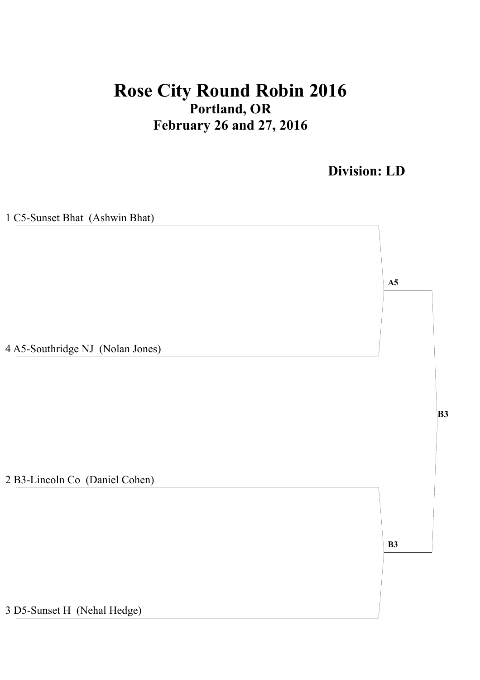# **Rose City Round Robin 2016 Portland, OR February 26 and 27, 2016**

**Division: LD**

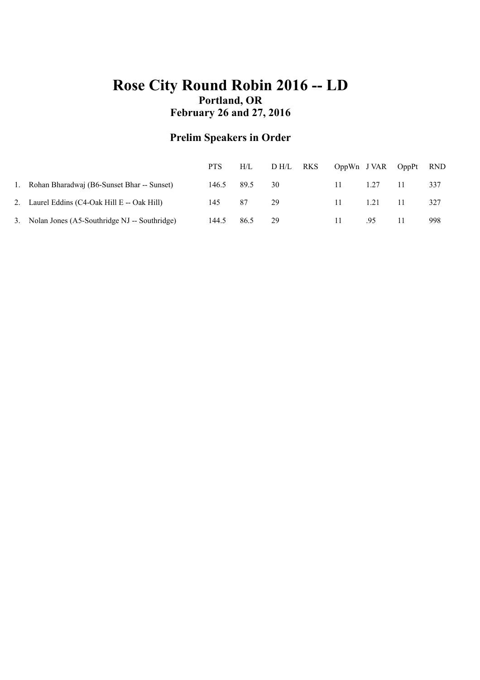### **Rose City Round Robin 2016 -- LD Portland, OR February 26 and 27, 2016**

### **Prelim Speakers in Order**

|                                                | <b>PTS</b> | H/L  | D H/L | RKS |    | OppWn J VAR OppPt |    | <b>RND</b> |
|------------------------------------------------|------------|------|-------|-----|----|-------------------|----|------------|
| 1. Rohan Bharadwaj (B6-Sunset Bhar -- Sunset)  | 146.5      | 89.5 | 30    |     | 11 | 1.27              | 11 | 337        |
| 2. Laurel Eddins (C4-Oak Hill E -- Oak Hill)   | 145.       | -87  | 29    |     | 11 | 1.21              |    | 327        |
| 3. Nolan Jones (A5-Southridge NJ - Southridge) | 144.5      | 86.5 | 29    |     | 11 | .95               |    | 998        |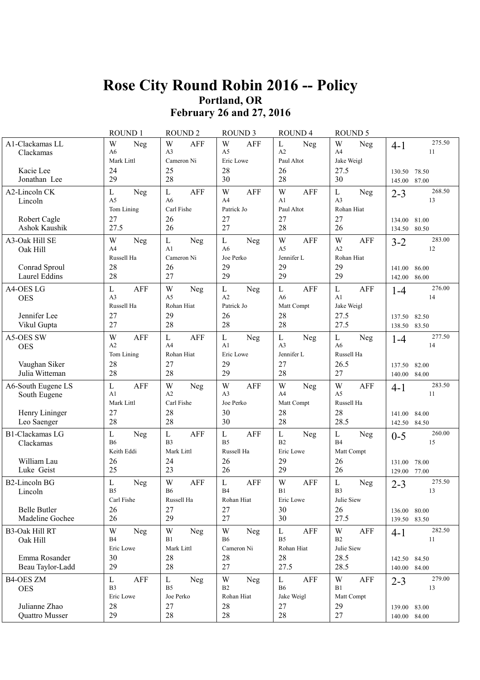### **Rose City Round Robin 2016 -- Policy Portland, OR February 26 and 27, 2016**

|                                                                  | ROUND 1                                                               | ROUND <sub>2</sub>                                                    | <b>ROUND 3</b>                                                        | ROUND <sub>4</sub>                                             | <b>ROUND 5</b>                                                            |                                                               |
|------------------------------------------------------------------|-----------------------------------------------------------------------|-----------------------------------------------------------------------|-----------------------------------------------------------------------|----------------------------------------------------------------|---------------------------------------------------------------------------|---------------------------------------------------------------|
| A1-Clackamas LL<br>Clackamas<br>Kacie Lee<br>Jonathan Lee        | W<br>Neg<br>A <sub>6</sub><br>Mark Littl<br>24<br>29                  | W<br><b>AFF</b><br>A <sub>3</sub><br>Cameron Ni<br>25<br>28           | W<br><b>AFF</b><br>A <sub>5</sub><br>Eric Lowe<br>28<br>30            | $\mathbf L$<br>Neg<br>A <sub>2</sub><br>Paul Altot<br>26<br>28 | W<br><b>Neg</b><br>A4<br>Jake Weigl<br>27.5<br>30                         | 275.50<br>$4-1$<br>11<br>78.50<br>130.50<br>87.00<br>145.00   |
| A2-Lincoln CK<br>Lincoln                                         | $\mathbf L$<br>Neg<br>A5<br>Tom Lining                                | $\mathbf L$<br><b>AFF</b><br>A <sub>6</sub><br>Carl Fishe             | W<br><b>AFF</b><br>A4<br>Patrick Jo                                   | W<br><b>AFF</b><br>A <sub>1</sub><br>Paul Altot                | $\mathbf L$<br><b>Neg</b><br>A <sub>3</sub><br>Rohan Hiat                 | 268.50<br>$2 - 3$<br>13                                       |
| Robert Cagle<br>Ashok Kaushik                                    | 27<br>27.5                                                            | 26<br>26                                                              | 27<br>27                                                              | 27<br>28                                                       | 27<br>26                                                                  | 134.00<br>81.00<br>80.50<br>134.50                            |
| A3-Oak Hill SE<br>Oak Hill                                       | W<br>Neg<br>A4<br>Russell Ha                                          | $\mathbf L$<br>Neg<br>A1<br>Cameron Ni                                | $\mathbf L$<br><b>Neg</b><br>A6<br>Joe Perko                          | W<br><b>AFF</b><br>A <sub>5</sub><br>Jennifer L                | W<br><b>AFF</b><br>A2<br>Rohan Hiat                                       | 283.00<br>$3 - 2$<br>12                                       |
| Conrad Sproul<br>Laurel Eddins                                   | 28<br>28                                                              | 26<br>27                                                              | 29<br>29                                                              | 29<br>29                                                       | 29<br>29                                                                  | 141.00<br>86.00<br>86.00<br>142.00                            |
| A4-OES LG<br><b>OES</b><br>Jennifer Lee<br>Vikul Gupta           | $\mathbf L$<br><b>AFF</b><br>A <sub>3</sub><br>Russell Ha<br>27<br>27 | W<br>Neg<br>A <sub>5</sub><br>Rohan Hiat<br>29<br>28                  | $\mathbf L$<br><b>Neg</b><br>A2<br>Patrick Jo<br>26<br>28             | $\mathbf L$<br>AFF<br>A6<br>Matt Compt<br>28<br>28             | $\mathbf L$<br><b>AFF</b><br>A <sub>1</sub><br>Jake Weigl<br>27.5<br>27.5 | 276.00<br>$1-4$<br>14<br>82.50<br>137.50<br>83.50<br>138.50   |
| A5-OES SW<br><b>OES</b>                                          | W<br><b>AFF</b><br>A2<br>Tom Lining                                   | $\mathbf L$<br><b>AFF</b><br>A <sup>4</sup><br>Rohan Hiat             | $\mathbf L$<br><b>Neg</b><br>A1<br>Eric Lowe                          | $\mathbf L$<br>Neg<br>A <sub>3</sub><br>Jennifer L             | $\mathbf L$<br>Neg<br>A <sub>6</sub><br>Russell Ha                        | 277.50<br>$1 - 4$<br>14                                       |
| Vaughan Siker<br>Julia Witteman                                  | 28<br>28                                                              | 27<br>28                                                              | 29<br>29                                                              | 27<br>28                                                       | 26.5<br>27                                                                | 82.00<br>137.50<br>84.00<br>140.00                            |
| A6-South Eugene LS<br>South Eugene                               | $\mathbf L$<br><b>AFF</b><br>A <sub>1</sub><br>Mark Littl             | W<br>Neg<br>A2<br>Carl Fishe                                          | W<br><b>AFF</b><br>A <sub>3</sub><br>Joe Perko                        | W<br>Neg<br>A <sub>4</sub><br>Matt Compt                       | W<br><b>AFF</b><br>A <sub>5</sub><br>Russell Ha                           | 283.50<br>$4-1$<br>11                                         |
| Henry Lininger<br>Leo Saenger                                    | 27<br>28                                                              | 28<br>28                                                              | 30<br>30                                                              | 28<br>28                                                       | 28<br>28.5                                                                | 141.00<br>84.00<br>84.50<br>142.50                            |
| <b>B1-Clackamas LG</b><br>Clackamas<br>William Lau<br>Luke Geist | $\mathbf L$<br>Neg<br><b>B6</b><br>Keith Eddi<br>26<br>25             | $\mathbf L$<br><b>AFF</b><br>B <sub>3</sub><br>Mark Littl<br>24<br>23 | $\mathbf L$<br><b>AFF</b><br>B <sub>5</sub><br>Russell Ha<br>26<br>26 | $\mathbf L$<br>Neg<br>B <sub>2</sub><br>Eric Lowe<br>29<br>29  | $\mathbf L$<br>Neg<br><b>B4</b><br>Matt Compt<br>26<br>26                 | 260.00<br>$0 - 5$<br>15<br>78.00<br>131.00<br>77.00<br>129.00 |
| <b>B2-Lincoln BG</b><br>Lincoln                                  | $\mathbf L$<br>Neg<br>B <sub>5</sub><br>Carl Fishe                    | W<br><b>AFF</b><br><b>B6</b><br>Russell Ha                            | $\mathbf L$<br>AFF<br><b>B4</b><br>Rohan Hiat                         | W<br><b>AFF</b><br>B1<br>Eric Lowe                             | $\mathbf L$<br>Neg<br>B <sub>3</sub><br>Julie Siew                        | 275.50<br>$2 - 3$<br>13                                       |
| <b>Belle Butler</b><br>Madeline Gochee                           | 26<br>26                                                              | 27<br>29                                                              | 27<br>27                                                              | 30<br>30                                                       | 26<br>27.5                                                                | 136.00 80.00<br>139.50 83.50                                  |
| <b>B3-Oak Hill RT</b><br>Oak Hill                                | W<br>Neg<br><b>B4</b><br>Eric Lowe                                    | W<br>Neg<br>B1<br>Mark Littl                                          | W<br>Neg<br><b>B6</b><br>Cameron Ni                                   | $\mathbf{L}$<br>AFF<br>B <sub>5</sub><br>Rohan Hiat            | W<br>AFF<br>B <sub>2</sub><br>Julie Siew                                  | 282.50<br>$4 - 1$<br>11                                       |
| Emma Rosander<br>Beau Taylor-Ladd                                | 30<br>29                                                              | 28<br>28                                                              | 28<br>27                                                              | 28<br>27.5                                                     | 28.5<br>28.5                                                              | 142.50 84.50<br>140.00 84.00                                  |
| <b>B4-OES ZM</b><br><b>OES</b><br>Julianne Zhao                  | $\mathbf{L}$<br>AFF<br>B <sub>3</sub><br>Eric Lowe<br>28              | $\mathbf{L}$<br>Neg<br>B <sub>5</sub><br>Joe Perko<br>27              | W<br>Neg<br>B <sub>2</sub><br>Rohan Hiat<br>28                        | $\mathbf{L}$<br>AFF<br><b>B6</b><br>Jake Weigl<br>27           | W<br>AFF<br>B1<br>Matt Compt<br>29                                        | 279.00<br>$2 - 3$<br>13                                       |
| Quattro Musser                                                   | 29                                                                    | 28                                                                    | 28                                                                    | 28                                                             | 27                                                                        | 139.00 83.00<br>140.00 84.00                                  |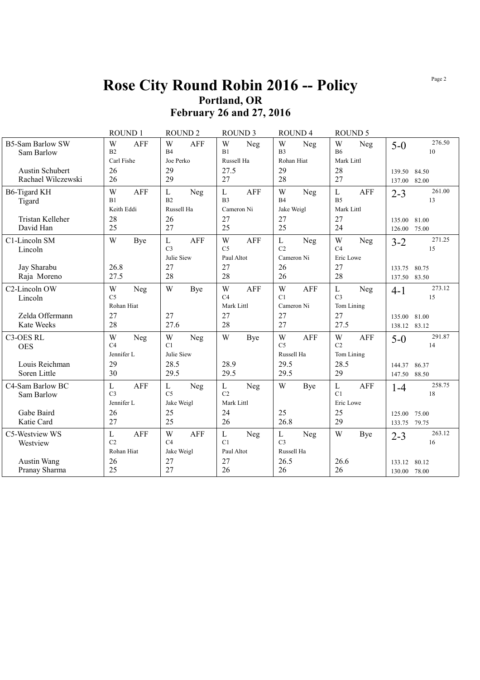#### Page 2

### **Rose City Round Robin 2016 -- Policy Portland, OR February 26 and 27, 2016**

|                                                   | ROUND 1                                     |            | <b>ROUND 2</b>                               |            | <b>ROUND 3</b>                                     |            | ROUND <sub>4</sub>                           |            | <b>ROUND 5</b>                                    |            |                        |                       |
|---------------------------------------------------|---------------------------------------------|------------|----------------------------------------------|------------|----------------------------------------------------|------------|----------------------------------------------|------------|---------------------------------------------------|------------|------------------------|-----------------------|
| <b>B5-Sam Barlow SW</b><br>Sam Barlow             | W<br>B2<br>Carl Fishe                       | <b>AFF</b> | W<br>B <sub>4</sub><br>Joe Perko             | <b>AFF</b> | W<br>B1<br>Russell Ha                              | Neg        | W<br>B <sub>3</sub><br>Rohan Hiat            | Neg        | W<br><b>B6</b><br>Mark Littl                      | Neg        | $5-0$                  | 276.50<br>10          |
| <b>Austin Schubert</b><br>Rachael Wilczewski      | 26<br>26                                    |            | 29<br>29                                     |            | 27.5<br>27                                         |            | 29<br>28                                     |            | 28<br>27                                          |            | 139.50<br>137.00       | 84.50<br>82.00        |
| <b>B6-Tigard KH</b><br>Tigard<br>Tristan Kelleher | W<br>B1<br>Keith Eddi<br>28                 | AFF        | $\mathbf{L}$<br>B2<br>Russell Ha<br>26       | <b>Neg</b> | $\mathbf{L}$<br>B <sub>3</sub><br>Cameron Ni<br>27 | <b>AFF</b> | W<br>B4<br>Jake Weigl<br>27                  | Neg        | $\mathbf L$<br>B <sub>5</sub><br>Mark Littl<br>27 | AFF        | $2 - 3$<br>135.00      | 261.00<br>13<br>81.00 |
| David Han                                         | 25                                          |            | 27                                           |            | 25                                                 |            | 25                                           |            | 24                                                |            | 126.00                 | 75.00                 |
| C1-Lincoln SM<br>Lincoln                          | W                                           | Bye        | L<br>C <sub>3</sub><br>Julie Siew            | <b>AFF</b> | W<br>C <sub>5</sub><br>Paul Altot                  | <b>AFF</b> | $\mathbf{L}$<br>C <sub>2</sub><br>Cameron Ni | Neg        | W<br>C <sub>4</sub><br>Eric Lowe                  | Neg        | $3-2$                  | 271.25<br>15          |
| Jay Sharabu<br>Raja Moreno                        | 26.8<br>27.5                                |            | 27<br>28                                     |            | 27<br>28                                           |            | 26<br>26                                     |            | 27<br>28                                          |            | 133.75<br>137.50       | 80.75<br>83.50        |
| C2-Lincoln OW<br>Lincoln                          | W<br>C <sub>5</sub><br>Rohan Hiat           | Neg        | W                                            | Bye        | W<br>C4<br>Mark Littl                              | <b>AFF</b> | W<br>C1<br>Cameron Ni                        | AFF        | L<br>C <sub>3</sub><br>Tom Lining                 | Neg        | 4-1                    | 273.12<br>15          |
| Zelda Offermann<br>Kate Weeks                     | 27<br>28                                    |            | 27<br>27.6                                   |            | 27<br>28                                           |            | 27<br>27                                     |            | 27<br>27.5                                        |            | 135.00<br>138.12       | 81.00<br>83.12        |
| C3-OES RL<br><b>OES</b>                           | W<br>C <sub>4</sub><br>Jennifer L           | Neg        | W<br>C1<br>Julie Siew                        | Neg        | W                                                  | <b>Bye</b> | W<br>C <sub>5</sub><br>Russell Ha            | <b>AFF</b> | W<br>C <sub>2</sub><br>Tom Lining                 | <b>AFF</b> | $5-0$                  | 291.87<br>14          |
| Louis Reichman<br>Soren Little                    | 29<br>30                                    |            | 28.5<br>29.5                                 |            | 28.9<br>29.5                                       |            | 29.5<br>29.5                                 |            | 28.5<br>29                                        |            | 144.37<br>147.50       | 86.37<br>88.50        |
| C4-Sam Barlow BC<br>Sam Barlow                    | $\mathbf L$<br>C <sub>3</sub><br>Jennifer L | AFF        | $\mathbf{L}$<br>C <sub>5</sub><br>Jake Weigl | Neg        | $\mathbf L$<br>C2<br>Mark Littl                    | Neg        | W                                            | <b>Bye</b> | $\mathbf L$<br>C1<br>Eric Lowe                    | <b>AFF</b> | $1-4$                  | 258.75<br>18          |
| Gabe Baird<br>Katie Card                          | 26<br>27                                    |            | 25<br>25                                     |            | 24<br>26                                           |            | 25<br>26.8                                   |            | 25<br>29                                          |            | 125.00<br>133.75       | 75.00<br>79.75        |
| C5-Westview WS<br>Westview                        | L<br>C <sub>2</sub><br>Rohan Hiat           | AFF        | W<br>C <sub>4</sub><br>Jake Weigl            | <b>AFF</b> | $\mathbf L$<br>C1<br>Paul Altot                    | Neg        | $\mathbf{L}$<br>C <sub>3</sub><br>Russell Ha | Neg        | W                                                 | Bye        | $2 - 3$                | 263.12<br>16          |
| Austin Wang<br>Pranay Sharma                      | 26<br>25                                    |            | 27<br>27                                     |            | 27<br>26                                           |            | 26.5<br>26                                   |            | 26.6<br>26                                        |            | 133.12<br>130.00 78.00 | 80.12                 |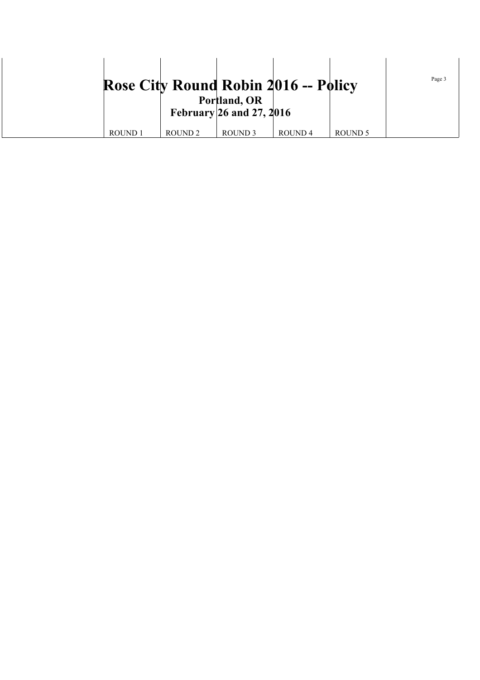|                    |                    |                                          | <b>Rose City Round Robin 2016 -- Policy</b> |         | Page 3 |
|--------------------|--------------------|------------------------------------------|---------------------------------------------|---------|--------|
|                    |                    | Portland, OR<br>February 26 and 27, 2016 |                                             |         |        |
| ROUND <sub>1</sub> | ROUND <sub>2</sub> | ROUND <sub>3</sub>                       | ROUND <sub>4</sub>                          | ROUND 5 |        |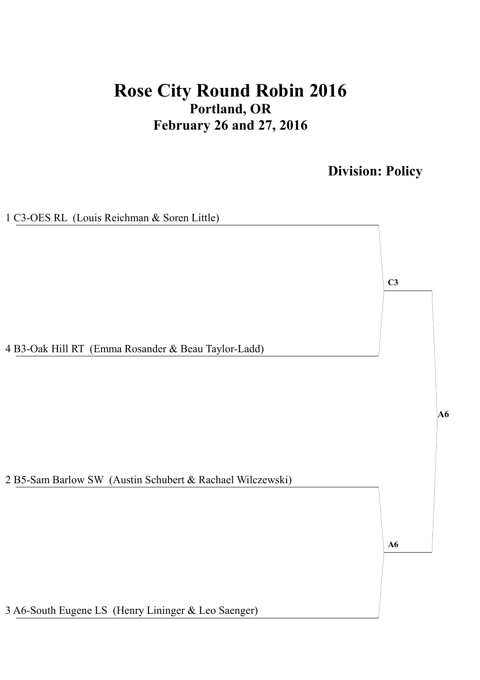# **Rose City Round Robin 2016 Portland, OR February 26 and 27, 2016**

**Division: Policy**

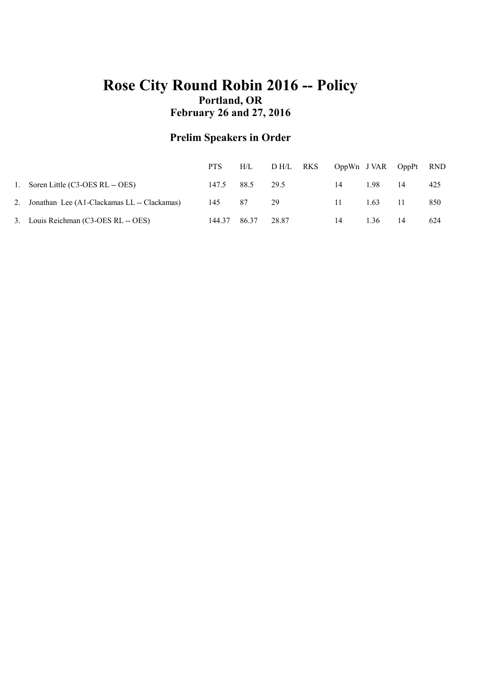### **Rose City Round Robin 2016 -- Policy Portland, OR February 26 and 27, 2016**

### **Prelim Speakers in Order**

|                                                | <b>PTS</b> | H/L             | D H/L RKS |      | OppWn JVAR OppPt |    | <b>RND</b> |
|------------------------------------------------|------------|-----------------|-----------|------|------------------|----|------------|
| 1. Soren Little (C3-OES RL -- OES)             |            | 147.5 88.5 29.5 |           | 14   | 1.98             | 14 | 425        |
| 2. Jonathan Lee (A1-Clackamas LL -- Clackamas) | 145 87     |                 | - 29      | -11- | 1.63             |    | 850        |
| 3. Louis Reichman (C3-OES RL -- OES)           | 144.37     | 86.37           | 28.87     | 14   | 1.36             | 14 | 624        |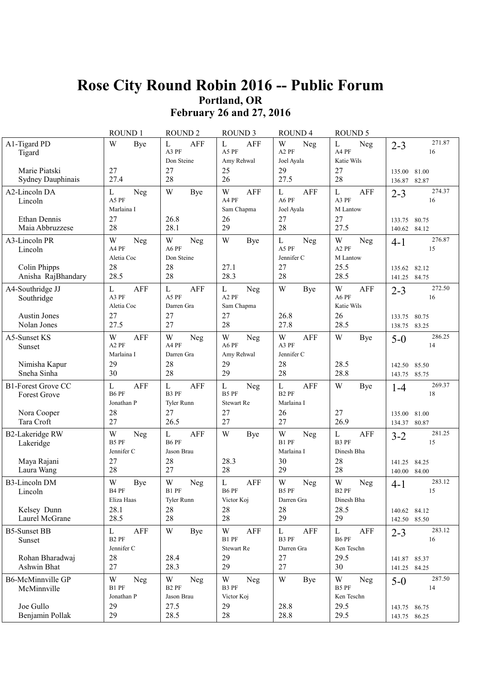## **Rose City Round Robin 2016 -- Public Forum Portland, OR February 26 and 27, 2016**

|                                                              | ROUND 1                                          | <b>ROUND 2</b>                               | <b>ROUND 3</b>                                        | ROUND <sub>4</sub>                                        | <b>ROUND 5</b>                                          |                                                     |
|--------------------------------------------------------------|--------------------------------------------------|----------------------------------------------|-------------------------------------------------------|-----------------------------------------------------------|---------------------------------------------------------|-----------------------------------------------------|
| A1-Tigard PD<br>Tigard<br>Marie Piatski<br>Sydney Dauphinais | W<br>Bye<br>27<br>27.4                           | L<br>AFF<br>A3 PF<br>Don Steine<br>27<br>28  | L<br>AFF<br>A5 PF<br>Amy Rehwal<br>25<br>26           | W<br>Neg<br>A <sub>2</sub> PF<br>Joel Ayala<br>29<br>27.5 | L<br><b>Neg</b><br>A4 PF<br>Katie Wils<br>27<br>28      | 271.87<br>$2 - 3$<br>16<br>81.00<br>135.00<br>82.87 |
| A2-Lincoln DA<br>Lincoln                                     | L<br>Neg<br>A5 PF<br>Marlaina I                  | W<br>Bye                                     | W<br>AFF<br>A4 PF<br>Sam Chapma                       | L<br>AFF<br>A6 PF<br>Joel Ayala                           | $\mathbf{L}$<br>AFF<br>A3 PF<br>M Lantow                | 136.87<br>274.37<br>$2 - 3$<br>16                   |
| Ethan Dennis<br>Maia Abbruzzese                              | 27<br>28                                         | 26.8<br>28.1                                 | 26<br>29                                              | 27<br>28                                                  | 27<br>27.5                                              | 80.75<br>133.75<br>140.62<br>84.12                  |
| A3-Lincoln PR<br>Lincoln                                     | W<br>Neg<br>A4 PF<br>Aletia Coc                  | W<br><b>Neg</b><br>A6 PF<br>Don Steine       | W<br>Bye                                              | L<br>Neg<br>A5 PF<br>Jennifer C                           | W<br>Neg<br>A <sub>2</sub> PF<br>M Lantow               | 276.87<br>$4-1$<br>15                               |
| Colin Phipps<br>Anisha RajBhandary                           | 28<br>28.5                                       | 28<br>28                                     | 27.1<br>28.3                                          | 27<br>28                                                  | 25.5<br>28.5                                            | 82.12<br>135.62<br>141.25 84.75                     |
| A4-Southridge JJ<br>Southridge<br><b>Austin Jones</b>        | L<br>AFF<br>A3 PF<br>Aletia Coc<br>27            | <b>AFF</b><br>L<br>A5 PF<br>Darren Gra<br>27 | L<br>Neg<br>A <sub>2</sub> PF<br>Sam Chapma<br>27     | W<br><b>Bye</b><br>26.8                                   | W<br>AFF<br>A6 PF<br>Katie Wils<br>26                   | 272.50<br>$2 - 3$<br>16<br>80.75<br>133.75          |
| Nolan Jones<br>A5-Sunset KS                                  | 27.5<br>W<br><b>AFF</b>                          | 27<br>W<br>Neg                               | 28<br>W<br>Neg                                        | 27.8<br>W<br><b>AFF</b>                                   | 28.5<br>W<br><b>Bye</b>                                 | 138.75<br>83.25<br>286.25<br>$5-0$                  |
| Sunset                                                       | A <sub>2</sub> PF<br>Marlaina I                  | A4 PF<br>Darren Gra                          | A6 PF<br>Amy Rehwal                                   | A3 PF<br>Jennifer C                                       |                                                         | 14                                                  |
| Nimisha Kapur<br>Sneha Sinha                                 | 29<br>30                                         | 28<br>28                                     | 29<br>29                                              | 28<br>28                                                  | 28.5<br>28.8                                            | 85.50<br>142.50<br>143.75<br>85.75                  |
| <b>B1-Forest Grove CC</b><br><b>Forest Grove</b>             | $\mathbf L$<br><b>AFF</b><br>B6 PF<br>Jonathan P | L<br><b>AFF</b><br>B3 PF<br>Tyler Runn       | L<br>Neg<br>B5 PF<br><b>Stewart Re</b>                | L<br><b>AFF</b><br>B <sub>2</sub> PF<br>Marlaina I        | W<br><b>Bye</b>                                         | 269.37<br>$1 - 4$<br>18                             |
| Nora Cooper<br>Tara Croft                                    | 28<br>27                                         | 27<br>26.5                                   | 27<br>27                                              | 26<br>27                                                  | 27<br>26.9                                              | 81.00<br>135.00<br>80.87<br>134.37                  |
| <b>B2-Lakeridge RW</b><br>Lakeridge<br>Maya Rajani           | W<br>Neg<br>B5 PF<br>Jennifer C<br>27            | L<br><b>AFF</b><br>B6 PF<br>Jason Brau<br>28 | W<br>Bye<br>28.3                                      | W<br>Neg<br>B1 PF<br>Marlaina I<br>30                     | $\mathbf{L}$<br><b>AFF</b><br>B3 PF<br>Dinesh Bha<br>28 | 281.25<br>$3-2$<br>15<br>84.25<br>141.25            |
| Laura Wang                                                   | 28                                               | 27                                           | 28                                                    | 29                                                        | 28                                                      | 140.00<br>84.00                                     |
| <b>B3-Lincoln DM</b><br>Lincoln                              | W<br>Bye<br>B4 PF<br>Eliza Haas                  | W<br>Neg<br>B1 PF<br>Tyler Runn              | L<br><b>AFF</b><br>B6 PF<br>Victor Koj                | W<br>Neg<br>B5 PF<br>Darren Gra                           | W<br>Neg<br>B <sub>2</sub> PF<br>Dinesh Bha             | 283.12<br>4-1<br>15                                 |
| Kelsey Dunn<br>Laurel McGrane                                | 28.1<br>28.5                                     | 28<br>28                                     | 28<br>28                                              | 28<br>29                                                  | 28.5<br>29                                              | 140.62 84.12<br>142.50 85.50                        |
| <b>B5-Sunset BB</b><br>Sunset                                | L<br>AFF<br>B <sub>2</sub> PF<br>Jennifer C      | W<br>Bye                                     | $\ensuremath{\text{W}}$<br>AFF<br>B1 PF<br>Stewart Re | $\mathbf{L}$<br>AFF<br>B3 PF<br>Darren Gra                | $\mathbf{L}$<br>AFF<br>B6 PF<br>Ken Teschn              | 283.12<br>$2 - 3$<br>16                             |
| Rohan Bharadwaj<br>Ashwin Bhat                               | 28<br>27                                         | 28.4<br>28.3                                 | 29<br>29                                              | 27<br>27                                                  | 29.5<br>30                                              | 141.87 85.37<br>141.25 84.25                        |
| <b>B6-McMinnville GP</b><br>McMinnville                      | W<br>Neg<br>B1 PF<br>Jonathan P                  | W<br>Neg<br>B <sub>2</sub> PF<br>Jason Brau  | W<br>Neg<br>B3 PF<br>Victor Koj                       | W<br>Bye                                                  | W<br>Neg<br>B5 PF<br>Ken Teschn                         | 287.50<br>$5-0$<br>14                               |
| Joe Gullo<br>Benjamin Pollak                                 | 29<br>29                                         | 27.5<br>28.5                                 | 29<br>28                                              | 28.8<br>28.8                                              | 29.5<br>29.5                                            | 143.75 86.75<br>143.75 86.25                        |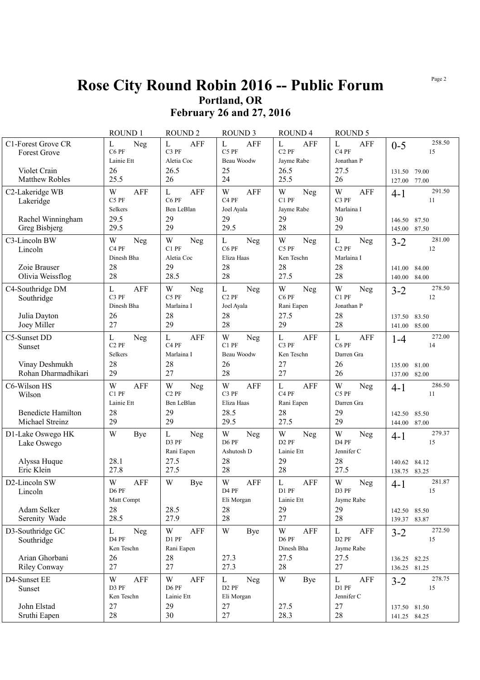## **Rose City Round Robin 2016 -- Public Forum Portland, OR**

**February 26 and 27, 2016**

|                                                                | ROUND <sub>1</sub>                                      | <b>ROUND2</b>                                                 | <b>ROUND 3</b>                                                    | <b>ROUND4</b>                                           | ROUND <sub>5</sub>                                        |                                                               |
|----------------------------------------------------------------|---------------------------------------------------------|---------------------------------------------------------------|-------------------------------------------------------------------|---------------------------------------------------------|-----------------------------------------------------------|---------------------------------------------------------------|
| C1-Forest Grove CR<br>Forest Grove                             | L<br>Neg<br>C6 PF<br>Lainie Ett                         | $\mathbf{L}$<br><b>AFF</b><br>C3 PF<br>Aletia Coc             | $\mathbf L$<br><b>AFF</b><br>C5 PF<br>Beau Woodw                  | L<br>AFF<br>C <sub>2</sub> PF<br>Jayme Rabe             | L<br><b>AFF</b><br>C <sub>4</sub> PF<br>Jonathan P        | 258.50<br>$0 - 5$<br>15                                       |
| Violet Crain<br><b>Matthew Robles</b>                          | 26<br>25.5                                              | 26.5<br>26                                                    | 25<br>24                                                          | 26.5<br>25.5                                            | 27.5<br>26                                                | 79.00<br>131.50<br>77.00<br>127.00                            |
| C2-Lakeridge WB<br>Lakeridge<br>Rachel Winningham              | W<br><b>AFF</b><br>C5 PF<br>Selkers<br>29.5             | $\mathbf{L}$<br>AFF<br>C6 PF<br>Ben LeBlan<br>29              | W<br><b>AFF</b><br>C <sub>4</sub> PF<br>Joel Ayala<br>29          | W<br>Neg<br>C1 PF<br>Jayme Rabe<br>29                   | W<br>AFF<br>C3 PF<br>Marlaina I<br>30                     | 291.50<br>$4 - 1$<br>11<br>146.50<br>87.50                    |
| Greg Bisbjerg                                                  | 29.5                                                    | 29                                                            | 29.5                                                              | 28                                                      | 29                                                        | 87.50<br>145.00                                               |
| C3-Lincoln BW<br>Lincoln                                       | W<br>Neg<br>C <sub>4</sub> PF<br>Dinesh Bha             | W<br>Neg<br>C1 PF<br>Aletia Coc                               | L<br>Neg<br>C6 PF<br>Eliza Haas                                   | W<br>Neg<br>C5 PF<br>Ken Teschn                         | L<br>Neg<br>C <sub>2</sub> PF<br>Marlaina I               | 281.00<br>$3 - 2$<br>12                                       |
| Zoie Brauser<br>Olivia Weissflog                               | 28<br>28                                                | 29<br>28.5                                                    | 28<br>28                                                          | 28<br>27.5                                              | 28<br>28                                                  | 141.00<br>84.00<br>84.00<br>140.00                            |
| C4-Southridge DM<br>Southridge<br>Julia Dayton<br>Joey Miller  | L<br>AFF<br>C <sub>3</sub> PF<br>Dinesh Bha<br>26<br>27 | W<br>Neg<br>C5 PF<br>Marlaina I<br>28<br>29                   | $\mathbf L$<br>Neg<br>C <sub>2</sub> PF<br>Joel Ayala<br>28<br>28 | W<br>Neg<br>C6 PF<br>Rani Eapen<br>27.5<br>29           | W<br>Neg<br>C1 PF<br>Jonathan P<br>28<br>28               | 278.50<br>$3 - 2$<br>12<br>137.50<br>83.50<br>85.00<br>141.00 |
| C5-Sunset DD<br>Sunset                                         | L<br>Neg<br>C <sub>2</sub> PF<br>Selkers                | $\mathbf{L}$<br><b>AFF</b><br>C <sub>4</sub> PF<br>Marlaina I | W<br>Neg<br>C1 PF<br>Beau Woodw                                   | L<br><b>AFF</b><br>C3 PF<br>Ken Teschn                  | L<br><b>AFF</b><br>C6 PF<br>Darren Gra                    | 272.00<br>$1 - 4$<br>14                                       |
| Vinay Deshmukh<br>Rohan Dharmadhikari                          | 28<br>29                                                | 28<br>27                                                      | 26<br>28                                                          | 27<br>27                                                | 26<br>26                                                  | 135.00<br>81.00<br>82.00<br>137.00                            |
| C6-Wilson HS<br>Wilson                                         | W<br><b>AFF</b><br>C1 PF<br>Lainie Ett                  | W<br>Neg<br>$C2$ PF<br>Ben LeBlan                             | W<br><b>AFF</b><br>C <sub>3</sub> PF<br>Eliza Haas                | L<br><b>AFF</b><br>C <sub>4</sub> PF<br>Rani Eapen      | W<br>Neg<br>C5 PF<br>Darren Gra                           | 286.50<br>$4-1$<br>11                                         |
| <b>Benedicte Hamilton</b><br>Michael Streinz                   | 28<br>29                                                | 29<br>29                                                      | 28.5<br>29.5                                                      | 28<br>27.5                                              | 29<br>29                                                  | 142.50<br>85.50<br>144.00 87.00                               |
| D1-Lake Oswego HK<br>Lake Oswego<br>Alyssa Huque<br>Eric Klein | W<br>Bye<br>28.1<br>27.8                                | $\mathbf L$<br>Neg<br>D3 PF<br>Rani Eapen<br>27.5<br>27.5     | W<br>Neg<br>D6 PF<br>Ashutosh D<br>28<br>28                       | W<br>Neg<br>D <sub>2</sub> PF<br>Lainie Ett<br>29<br>28 | W<br>Neg<br>D <sub>4</sub> PF<br>Jennifer C<br>28<br>27.5 | 279.37<br>$4-1$<br>15<br>84.12<br>140.62<br>138.75 83.25      |
| D2-Lincoln SW<br>Lincoln<br>Adam Selker                        | W<br><b>AFF</b><br>D6 PF<br>Matt Compt<br>28            | W<br><b>Bye</b><br>28.5                                       | W<br><b>AFF</b><br>D4 PF<br>Eli Morgan<br>28                      | L<br><b>AFF</b><br>D1 PF<br>Lainie Ett<br>29            | W<br>Neg<br>D3 PF<br>Jayme Rabe<br>29                     | 281.87<br>$4 - 1$<br>15                                       |
| Serenity Wade                                                  | 28.5                                                    | 27.9                                                          | 28                                                                | 27                                                      | 28                                                        | 142.50 85.50<br>139.37 83.87                                  |
| D3-Southridge GC<br>Southridge                                 | L<br>Neg<br>D4 PF<br>Ken Teschn                         | W<br>AFF<br>D1 PF<br>Rani Eapen                               | $\ensuremath{\text{W}}$<br>Bye                                    | W<br>AFF<br>D6 PF<br>Dinesh Bha                         | L<br>AFF<br>D <sub>2</sub> PF<br>Jayme Rabe               | 272.50<br>$3 - 2$<br>15                                       |
| Arian Ghorbani<br><b>Riley Conway</b>                          | 26<br>27                                                | 28<br>27                                                      | 27.3<br>27.3                                                      | 27.5<br>28                                              | 27.5<br>27                                                | 136.25 82.25<br>136.25 81.25                                  |
| D4-Sunset EE<br>Sunset                                         | W<br>AFF<br>D3 PF<br>Ken Teschn                         | W<br><b>AFF</b><br>D6 PF<br>Lainie Ett                        | L<br><b>Neg</b><br>D <sub>2</sub> PF<br>Eli Morgan                | W<br>Bye                                                | $\bf L$<br>AFF<br>D1 PF<br>Jennifer C                     | 278.75<br>$3 - 2$<br>15                                       |
| John Elstad<br>Sruthi Eapen                                    | 27<br>$28\,$                                            | 29<br>30                                                      | $27\,$<br>27                                                      | 27.5<br>28.3                                            | 27<br>28                                                  | 137.50 81.50<br>141.25 84.25                                  |

Page 2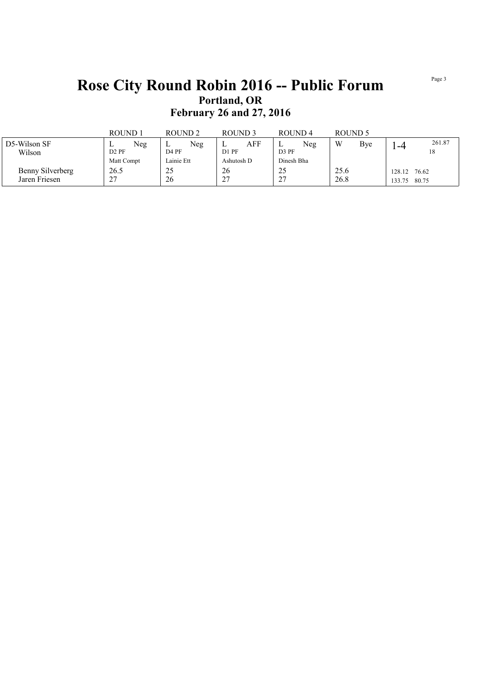### **Rose City Round Robin 2016 -- Public Forum Portland, OR February 26 and 27, 2016**

|                  | ROUND 1           | ROUND <sub>2</sub> | ROUND 3          | ROUND <sub>4</sub> | ROUND 5  |                 |
|------------------|-------------------|--------------------|------------------|--------------------|----------|-----------------|
| D5-Wilson SF     | Neg               | Neg<br>⊥           | ${\rm AFF}$<br>≖ | Neg<br>∸           | W<br>Bve | 261.87<br>-4    |
| Wilson           | D <sub>2</sub> PF | D <sub>4</sub> PF  | D1 PF            | D <sub>3</sub> PF  |          | 18              |
|                  | Matt Compt        | Lainie Ett         | Ashutosh D       | Dinesh Bha         |          |                 |
| Benny Silverberg | 26.5              | 25                 | 26               | 25                 | 25.6     | 76.62<br>128.12 |
| Jaren Friesen    | $\sim$<br>، ک     | 26                 | 27               | $\sim$<br><u>.</u> | 26.8     | 80.75<br>133.75 |

Page 3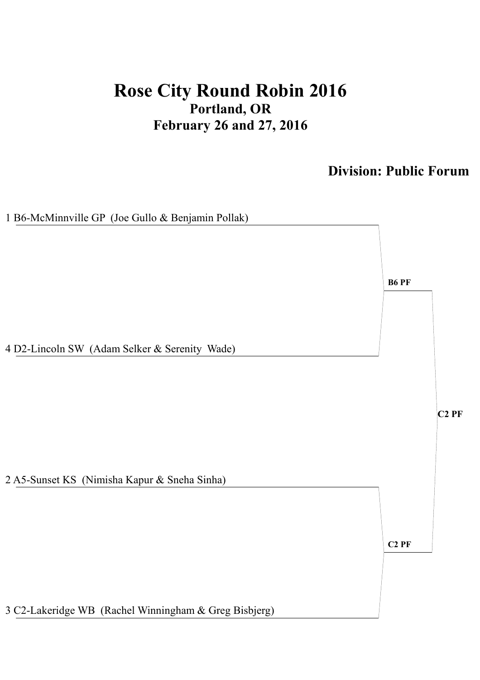# **Rose City Round Robin 2016 Portland, OR February 26 and 27, 2016**

### **Division: Public Forum**